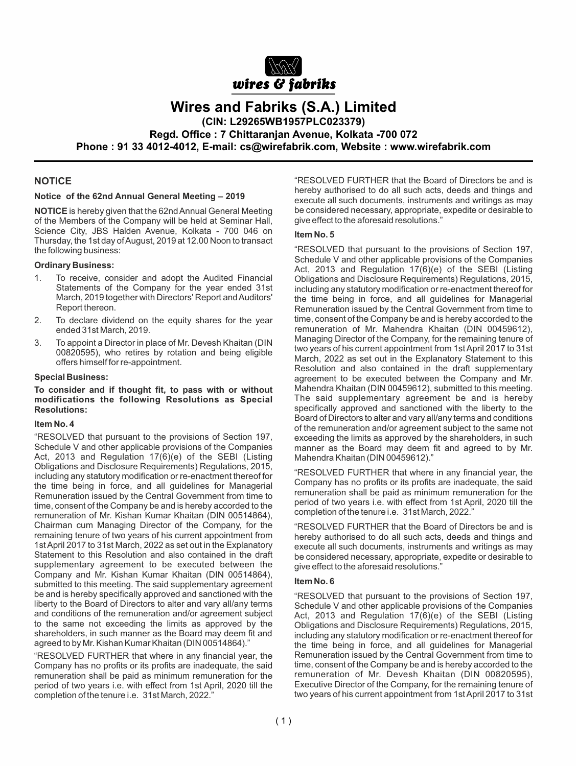

# **Wires and Fabriks (S.A.) Limited**

**(CIN: L29265WB1957PLC023379)**

**Regd. Office : 7 Chittaranjan Avenue, Kolkata -700 072**

**Phone : 91 33 4012-4012, E-mail: cs@wirefabrik.com, Website : www.wirefabrik.com**

#### **NOTICE**

#### **Notice of the 62nd Annual General Meeting – 2019**

**NOTICE** is hereby given that the 62nd Annual General Meeting of the Members of the Company will be held at Seminar Hall, Science City, JBS Halden Avenue, Kolkata - 700 046 on Thursday, the 1st day of August, 2019 at 12.00 Noon to transact the following business:

#### **Ordinary Business:**

- 1. To receive, consider and adopt the Audited Financial Statements of the Company for the year ended 31st March, 2019 together with Directors' Report and Auditors' Report thereon.
- 2. To declare dividend on the equity shares for the year ended 31st March, 2019.
- 3. To appoint a Director in place of Mr. Devesh Khaitan (DIN 00820595), who retires by rotation and being eligible offers himself for re-appointment.

#### **Special Business:**

#### **To consider and if thought fit, to pass with or without modifications the following Resolutions as Special Resolutions:**

#### **Item No. 4**

"RESOLVED that pursuant to the provisions of Section 197, Schedule V and other applicable provisions of the Companies Act, 2013 and Regulation 17(6)(e) of the SEBI (Listing Obligations and Disclosure Requirements) Regulations, 2015, including any statutory modification or re-enactment thereof for the time being in force, and all guidelines for Managerial Remuneration issued by the Central Government from time to time, consent of the Company be and is hereby accorded to the remuneration of Mr. Kishan Kumar Khaitan (DIN 00514864), Chairman cum Managing Director of the Company, for the remaining tenure of two years of his current appointment from 1st April 2017 to 31st March, 2022 as set out in the Explanatory Statement to this Resolution and also contained in the draft supplementary agreement to be executed between the Company and Mr. Kishan Kumar Khaitan (DIN 00514864), submitted to this meeting. The said supplementary agreement be and is hereby specifically approved and sanctioned with the liberty to the Board of Directors to alter and vary all/any terms and conditions of the remuneration and/or agreement subject to the same not exceeding the limits as approved by the shareholders, in such manner as the Board may deem fit and agreed to by Mr. Kishan Kumar Khaitan (DIN 00514864)."

"RESOLVED FURTHER that where in any financial year, the Company has no profits or its profits are inadequate, the said remuneration shall be paid as minimum remuneration for the period of two years i.e. with effect from 1st April, 2020 till the completion of the tenure i.e. 31st March, 2022."

"RESOLVED FURTHER that the Board of Directors be and is hereby authorised to do all such acts, deeds and things and execute all such documents, instruments and writings as may be considered necessary, appropriate, expedite or desirable to give effect to the aforesaid resolutions."

#### **Item No. 5**

"RESOLVED that pursuant to the provisions of Section 197, Schedule V and other applicable provisions of the Companies Act, 2013 and Regulation 17(6)(e) of the SEBI (Listing Obligations and Disclosure Requirements) Regulations, 2015, including any statutory modification or re-enactment thereof for the time being in force, and all guidelines for Managerial Remuneration issued by the Central Government from time to time, consent of the Company be and is hereby accorded to the remuneration of Mr. Mahendra Khaitan (DIN 00459612), Managing Director of the Company, for the remaining tenure of two years of his current appointment from 1st April 2017 to 31st March, 2022 as set out in the Explanatory Statement to this Resolution and also contained in the draft supplementary agreement to be executed between the Company and Mr. Mahendra Khaitan (DIN 00459612), submitted to this meeting. The said supplementary agreement be and is hereby specifically approved and sanctioned with the liberty to the Board of Directors to alter and vary all/any terms and conditions of the remuneration and/or agreement subject to the same not exceeding the limits as approved by the shareholders, in such manner as the Board may deem fit and agreed to by Mr. Mahendra Khaitan (DIN 00459612)."

"RESOLVED FURTHER that where in any financial year, the Company has no profits or its profits are inadequate, the said remuneration shall be paid as minimum remuneration for the period of two years i.e. with effect from 1st April, 2020 till the completion of the tenure i.e. 31st March, 2022."

"RESOLVED FURTHER that the Board of Directors be and is hereby authorised to do all such acts, deeds and things and execute all such documents, instruments and writings as may be considered necessary, appropriate, expedite or desirable to give effect to the aforesaid resolutions."

#### **Item No. 6**

"RESOLVED that pursuant to the provisions of Section 197, Schedule V and other applicable provisions of the Companies Act, 2013 and Regulation 17(6)(e) of the SEBI (Listing Obligations and Disclosure Requirements) Regulations, 2015, including any statutory modification or re-enactment thereof for the time being in force, and all guidelines for Managerial Remuneration issued by the Central Government from time to time, consent of the Company be and is hereby accorded to the remuneration of Mr. Devesh Khaitan (DIN 00820595), Executive Director of the Company, for the remaining tenure of two years of his current appointment from 1st April 2017 to 31st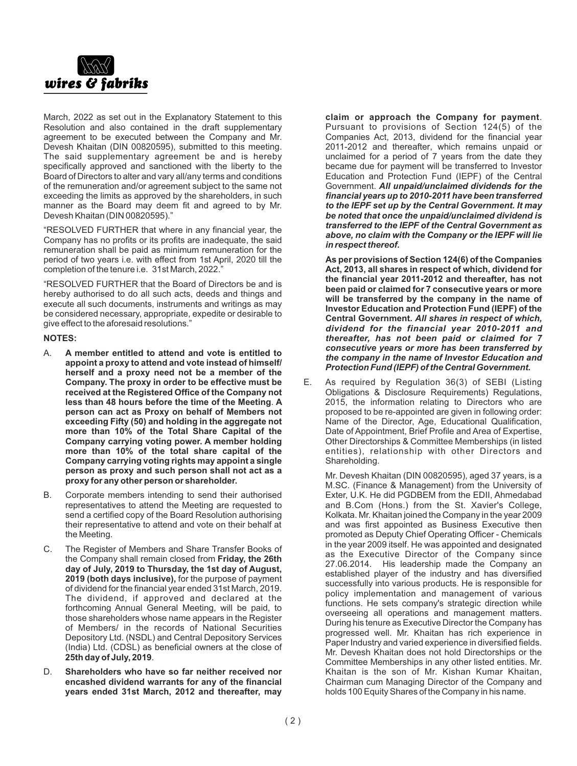

March, 2022 as set out in the Explanatory Statement to this Resolution and also contained in the draft supplementary agreement to be executed between the Company and Mr. Devesh Khaitan (DIN 00820595), submitted to this meeting. The said supplementary agreement be and is hereby specifically approved and sanctioned with the liberty to the Board of Directors to alter and vary all/any terms and conditions of the remuneration and/or agreement subject to the same not exceeding the limits as approved by the shareholders, in such manner as the Board may deem fit and agreed to by Mr. Devesh Khaitan (DIN 00820595)."

"RESOLVED FURTHER that where in any financial year, the Company has no profits or its profits are inadequate, the said remuneration shall be paid as minimum remuneration for the period of two years i.e. with effect from 1st April, 2020 till the completion of the tenure i.e. 31st March, 2022.'

"RESOLVED FURTHER that the Board of Directors be and is hereby authorised to do all such acts, deeds and things and execute all such documents, instruments and writings as may be considered necessary, appropriate, expedite or desirable to give effect to the aforesaid resolutions."

#### **NOTES:**

- A. **A member entitled to attend and vote is entitled to appoint a proxy to attend and vote instead of himself/ herself and a proxy need not be a member of the Company. The proxy in order to be effective must be received at the Registered Office of the Company not less than 48 hours before the time of the Meeting**. **A person can act as Proxy on behalf of Members not exceeding Fifty (50) and holding in the aggregate not more than 10% of the Total Share Capital of the Company carrying voting power. A member holding more than 10% of the total share capital of the Company carrying voting rights may appoint a single person as proxy and such person shall not act as a proxy for any other person or shareholder.**
- B. Corporate members intending to send their authorised representatives to attend the Meeting are requested to send a certified copy of the Board Resolution authorising their representative to attend and vote on their behalf at the Meeting.
- C. The Register of Members and Share Transfer Books of the Company shall remain closed from **Friday, the 26th day of July, 2019 to Thursday, the 1st day of August, 2019 (both days inclusive),** for the purpose of payment of dividend for the financial year ended 31st March, 2019. The dividend, if approved and declared at the forthcoming Annual General Meeting, will be paid, to those shareholders whose name appears in the Register of Members/ in the records of National Securities Depository Ltd. (NSDL) and Central Depository Services (India) Ltd. (CDSL) as beneficial owners at the close of **25th day of July, 2019**.
- D. **Shareholders who have so far neither received nor encashed dividend warrants for any of the financial years ended 31st March, 2012 and thereafter, may**

**claim or approach the Company for payment**. Pursuant to provisions of Section 124(5) of the Companies Act, 2013, dividend for the financial year 2011-2012 and thereafter, which remains unpaid or unclaimed for a period of 7 years from the date they became due for payment will be transferred to Investor Education and Protection Fund (IEPF) of the Central Government. *All unpaid/unclaimed dividends for the financial years up to 2010-2011 have been transferred to the IEPF set up by the Central Government. It may be noted that once the unpaid/unclaimed dividend is transferred to the IEPF of the Central Government as above, no claim with the Company or the IEPF will lie in respect thereof.*

**As per provisions of Section 124(6) of the Companies Act, 2013, all shares in respect of which, dividend for the financial year 2011-2012 and thereafter, has not been paid or claimed for 7 consecutive years or more will be transferred by the company in the name of Investor Education and Protection Fund (IEPF) of the Central Government.** *All shares in respect of which, dividend for the financial year 2010-2011 and thereafter, has not been paid or claimed for 7 consecutive years or more has been transferred by the company in the name of Investor Education and Protection Fund (IEPF) of the Central Government.*

E. As required by Regulation 36(3) of SEBI (Listing Obligations & Disclosure Requirements) Regulations, 2015, the information relating to Directors who are proposed to be re-appointed are given in following order: Name of the Director, Age, Educational Qualification, Date of Appointment, Brief Profile and Area of Expertise, Other Directorships & Committee Memberships (in listed entities), relationship with other Directors and Shareholding.

Mr. Devesh Khaitan (DIN 00820595), aged 37 years, is a M.SC. (Finance & Management) from the University of Exter, U.K. He did PGDBEM from the EDII, Ahmedabad and B.Com (Hons.) from the St. Xavier's College, Kolkata. Mr. Khaitan joined the Company in the year 2009 and was first appointed as Business Executive then promoted as Deputy Chief Operating Officer - Chemicals in the year 2009 itself. He was appointed and designated as the Executive Director of the Company since 27.06.2014. His leadership made the Company an established player of the industry and has diversified successfully into various products. He is responsible for policy implementation and management of various functions. He sets company's strategic direction while overseeing all operations and management matters. During his tenure as Executive Director the Company has progressed well. Mr. Khaitan has rich experience in Paper Industry and varied experience in diversified fields. Mr. Devesh Khaitan does not hold Directorships or the Committee Memberships in any other listed entities. Mr. Khaitan is the son of Mr. Kishan Kumar Khaitan, Chairman cum Managing Director of the Company and holds 100 Equity Shares of the Company in his name.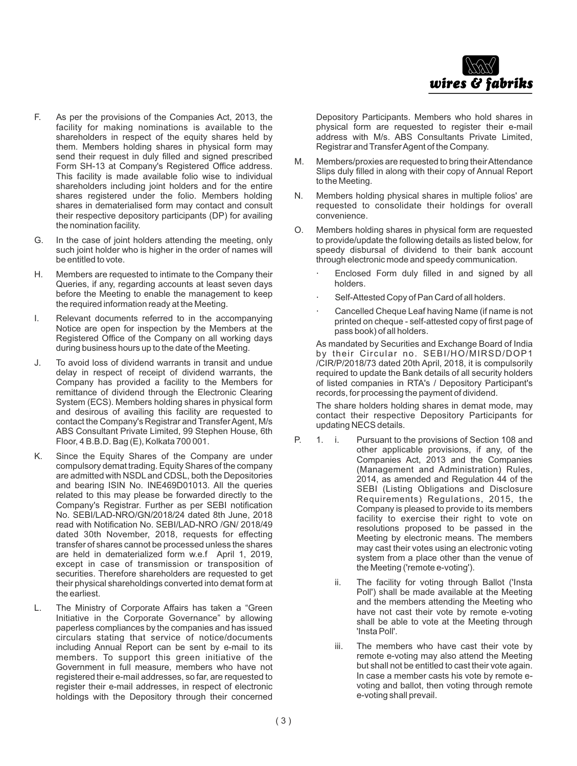

- F. As per the provisions of the Companies Act, 2013, the facility for making nominations is available to the shareholders in respect of the equity shares held by them. Members holding shares in physical form may send their request in duly filled and signed prescribed Form SH-13 at Company's Registered Office address. This facility is made available folio wise to individual shareholders including joint holders and for the entire shares registered under the folio. Members holding shares in dematerialised form may contact and consult their respective depository participants (DP) for availing the nomination facility.
- G. In the case of joint holders attending the meeting, only such joint holder who is higher in the order of names will be entitled to vote.
- H. Members are requested to intimate to the Company their Queries, if any, regarding accounts at least seven days before the Meeting to enable the management to keep the required information ready at the Meeting.
- I. Relevant documents referred to in the accompanying Notice are open for inspection by the Members at the Registered Office of the Company on all working days during business hours up to the date of the Meeting.
- J. To avoid loss of dividend warrants in transit and undue delay in respect of receipt of dividend warrants, the Company has provided a facility to the Members for remittance of dividend through the Electronic Clearing System (ECS). Members holding shares in physical form and desirous of availing this facility are requested to contact the Company's Registrar and Transfer Agent, M/s ABS Consultant Private Limited, 99 Stephen House, 6th Floor, 4 B.B.D. Bag (E), Kolkata 700 001.
- K. Since the Equity Shares of the Company are under compulsory demat trading. Equity Shares of the company are admitted with NSDL and CDSL, both the Depositories and bearing ISIN No. INE469D01013. All the queries related to this may please be forwarded directly to the Company's Registrar. Further as per SEBI notification No. SEBI/LAD-NRO/GN/2018/24 dated 8th June, 2018 read with Notification No. SEBI/LAD-NRO /GN/ 2018/49 dated 30th November, 2018, requests for effecting transfer of shares cannot be processed unless the shares are held in dematerialized form w.e.f April 1, 2019, except in case of transmission or transposition of securities. Therefore shareholders are requested to get their physical shareholdings converted into demat form at the earliest.
- L. The Ministry of Corporate Affairs has taken a "Green Initiative in the Corporate Governance" by allowing paperless compliances by the companies and has issued circulars stating that service of notice/documents including Annual Report can be sent by e-mail to its members. To support this green initiative of the Government in full measure, members who have not registered their e-mail addresses, so far, are requested to register their e-mail addresses, in respect of electronic holdings with the Depository through their concerned

Depository Participants. Members who hold shares in physical form are requested to register their e-mail address with M/s. ABS Consultants Private Limited, Registrar and Transfer Agent of the Company.

- M. Members/proxies are requested to bring their Attendance Slips duly filled in along with their copy of Annual Report to the Meeting.
- N. Members holding physical shares in multiple folios' are requested to consolidate their holdings for overall convenience.
- O. Members holding shares in physical form are requested to provide/update the following details as listed below, for speedy disbursal of dividend to their bank account through electronic mode and speedy communication.
	- Enclosed Form duly filled in and signed by all holders.
	- Self-Attested Copy of Pan Card of all holders.
	- Cancelled Cheque Leaf having Name (if name is not printed on cheque - self-attested copy of first page of pass book) of all holders.

As mandated by Securities and Exchange Board of India by their Circular no. SEBI/HO/MIRSD/DOP1 /CIR/P/2018/73 dated 20th April, 2018, it is compulsorily required to update the Bank details of all security holders of listed companies in RTA's / Depository Participant's records, for processing the payment of dividend.

The share holders holding shares in demat mode, may contact their respective Depository Participants for updating NECS details.

- P. 1. i. Pursuant to the provisions of Section 108 and other applicable provisions, if any, of the Companies Act, 2013 and the Companies (Management and Administration) Rules, 2014, as amended and Regulation 44 of the SEBI (Listing Obligations and Disclosure Requirements) Regulations, 2015, the Company is pleased to provide to its members facility to exercise their right to vote on resolutions proposed to be passed in the Meeting by electronic means. The members may cast their votes using an electronic voting system from a place other than the venue of the Meeting ('remote e-voting').
	- ii. The facility for voting through Ballot ('Insta Poll') shall be made available at the Meeting and the members attending the Meeting who have not cast their vote by remote e-voting shall be able to vote at the Meeting through 'Insta Poll'.
	- iii. The members who have cast their vote by remote e-voting may also attend the Meeting but shall not be entitled to cast their vote again. In case a member casts his vote by remote evoting and ballot, then voting through remote e-voting shall prevail.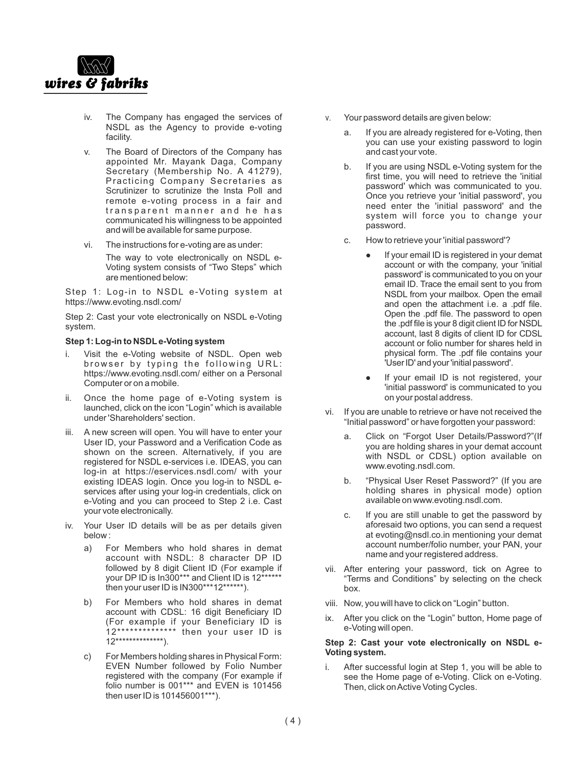

- iv. The Company has engaged the services of NSDL as the Agency to provide e-voting facility.
- v. The Board of Directors of the Company has appointed Mr. Mayank Daga, Company Secretary (Membership No. A 41279), Practicing Company Secretaries as Scrutinizer to scrutinize the Insta Poll and remote e-voting process in a fair and transparent manner and he has communicated his willingness to be appointed and will be available for same purpose.
- vi. The instructions for e-voting are as under:

The way to vote electronically on NSDL e-Voting system consists of "Two Steps" which are mentioned below:

Step 1: Log-in to NSDL e-Voting system at https://www.evoting.nsdl.com/

Step 2: Cast your vote electronically on NSDL e-Voting system.

#### **Step 1: Log-in to NSDLe-Voting system**

- i. Visit the e-Voting website of NSDL. Open web browser by typing the following URL: https://www.evoting.nsdl.com/ either on a Personal Computer or on a mobile.
- ii. Once the home page of e-Voting system is launched, click on the icon "Login" which is available under 'Shareholders' section.
- iii. A new screen will open. You will have to enter your User ID, your Password and a Verification Code as shown on the screen. Alternatively, if you are registered for NSDL e-services i.e. IDEAS, you can log-in at https://eservices.nsdl.com/ with your existing IDEAS login. Once you log-in to NSDL eservices after using your log-in credentials, click on e-Voting and you can proceed to Step 2 i.e. Cast your vote electronically.
- iv. Your User ID details will be as per details given below :
	- a) For Members who hold shares in demat account with NSDL: 8 character DP ID followed by 8 digit Client ID (For example if your DP ID is In300\*\*\* and Client ID is 12\*\*\*\*\*\* then your user ID is IN300\*\*\*12\*\*\*\*\*\*).
	- b) For Members who hold shares in demat account with CDSL: 16 digit Beneficiary ID (For example if your Beneficiary ID is 12\*\*\*\*\*\*\*\*\*\*\*\*\*\* then your user ID is  $12***************$
	- c) For Members holding shares in Physical Form: EVEN Number followed by Folio Number registered with the company (For example if folio number is 001\*\*\* and EVEN is 101456 then user ID is 101456001\*\*\*).
- v. Your password details are given below:
	- a. If you are already registered for e-Voting, then you can use your existing password to login and cast your vote.
	- b. If you are using NSDL e-Voting system for the first time, you will need to retrieve the 'initial password' which was communicated to you. Once you retrieve your 'initial password', you need enter the 'initial password' and the system will force you to change your password.
	- c. How to retrieve your 'initial password'?
		- If your email ID is registered in your demat account or with the company, your 'initial password' is communicated to you on your email ID. Trace the email sent to you from NSDL from your mailbox. Open the email and open the attachment i.e. a .pdf file. Open the .pdf file. The password to open the .pdf file is your 8 digit client ID for NSDL account, last 8 digits of client ID for CDSL account or folio number for shares held in physical form. The .pdf file contains your 'UserID'and your'initial password'.
		- If your email ID is not registered, your 'initial password' is communicated to you on your postal address.
- vi. If you are unable to retrieve or have not received the "Initial password" or have forgotten your password:
	- a. Click on "Forgot User Details/Password?"(If you are holding shares in your demat account with NSDL or CDSL) option available on www.evoting.nsdl.com.
	- b. "Physical User Reset Password?" (If you are holding shares in physical mode) option available on www.evoting.nsdl.com.
	- c. If you are still unable to get the password by aforesaid two options, you can send a request at evoting@nsdl.co.in mentioning your demat account number/folio number, your PAN, your name and your registered address.
- vii. After entering your password, tick on Agree to "Terms and Conditions" by selecting on the check box.
- viii. Now, you will have to click on "Login" button.
- ix. After you click on the "Login" button, Home page of e-Voting will open.

#### **Step 2: Cast your vote electronically on NSDL e-Voting system.**

i. After successful login at Step 1, you will be able to see the Home page of e-Voting. Click on e-Voting. Then, click on Active Voting Cycles.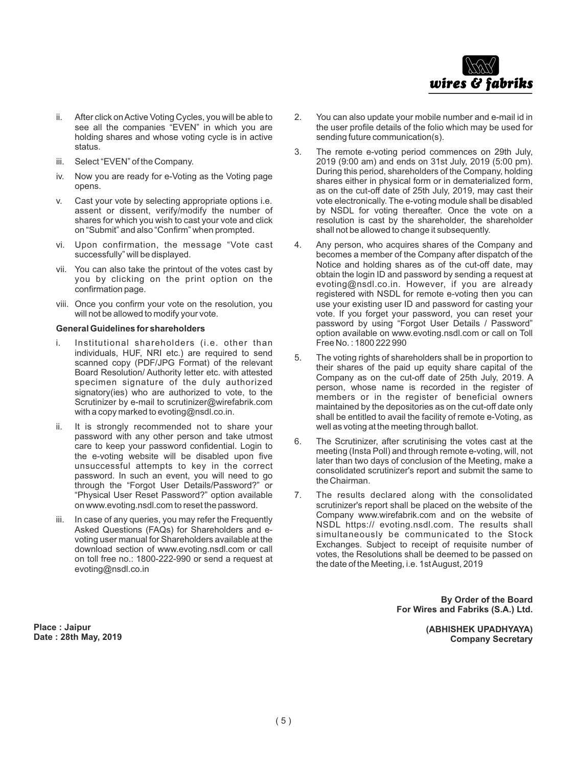

- ii. After click on Active Voting Cycles, you will be able to see all the companies "EVEN" in which you are holding shares and whose voting cycle is in active status.
- iii. Select "EVEN" of the Company.
- iv. Now you are ready for e-Voting as the Voting page opens.
- v. Cast your vote by selecting appropriate options i.e. assent or dissent, verify/modify the number of shares for which you wish to cast your vote and click on "Submit" and also "Confirm" when prompted.
- vi. Upon confirmation, the message "Vote cast successfully" will be displayed.
- vii. You can also take the printout of the votes cast by you by clicking on the print option on the confirmation page.
- viii. Once you confirm your vote on the resolution, you will not be allowed to modify your vote.

#### **General Guidelines for shareholders**

- i. Institutional shareholders (i.e. other than individuals, HUF, NRI etc.) are required to send scanned copy (PDF/JPG Format) of the relevant Board Resolution/ Authority letter etc. with attested specimen signature of the duly authorized signatory(ies) who are authorized to vote, to the Scrutinizer by e-mail to scrutinizer@wirefabrik.com with a copy marked to evoting@nsdl.co.in.
- ii. It is strongly recommended not to share your password with any other person and take utmost care to keep your password confidential. Login to the e-voting website will be disabled upon five unsuccessful attempts to key in the correct password. In such an event, you will need to go through the "Forgot User Details/Password?" or "Physical User Reset Password?" option available on www.evoting.nsdl.com to reset the password.
- iii. In case of any queries, you may refer the Frequently Asked Questions (FAQs) for Shareholders and evoting user manual for Shareholders available at the download section of www.evoting.nsdl.com or call on toll free no.: 1800-222-990 or send a request at evoting@nsdl.co.in

**Place : Jaipur Date : 28th May, 2019**

- 2. You can also update your mobile number and e-mail id in the user profile details of the folio which may be used for sending future communication(s).
- 3. The remote e-voting period commences on 29th July, 2019 (9:00 am) and ends on 31st July, 2019 (5:00 pm). During this period, shareholders of the Company, holding shares either in physical form or in dematerialized form, as on the cut-off date of 25th July, 2019, may cast their vote electronically. The e-voting module shall be disabled by NSDL for voting thereafter. Once the vote on a resolution is cast by the shareholder, the shareholder shall not be allowed to change it subsequently.
- 4. Any person, who acquires shares of the Company and becomes a member of the Company after dispatch of the Notice and holding shares as of the cut-off date, may obtain the login ID and password by sending a request at evoting@nsdl.co.in. However, if you are already registered with NSDL for remote e-voting then you can use your existing user ID and password for casting your vote. If you forget your password, you can reset your password by using "Forgot User Details / Password" option available on www.evoting.nsdl.com or call on Toll Free No. : 1800 222 990
- 5. The voting rights of shareholders shall be in proportion to their shares of the paid up equity share capital of the Company as on the cut-off date of 25th July, 2019. A person, whose name is recorded in the register of members or in the register of beneficial owners maintained by the depositories as on the cut-off date only shall be entitled to avail the facility of remote e-Voting, as well as voting at the meeting through ballot.
- 6. The Scrutinizer, after scrutinising the votes cast at the meeting (Insta Poll) and through remote e-voting, will, not later than two days of conclusion of the Meeting, make a consolidated scrutinizer's report and submit the same to the Chairman.
- 7. The results declared along with the consolidated scrutinizer's report shall be placed on the website of the Company www.wirefabrik.com and on the website of NSDL https:// evoting.nsdl.com. The results shall simultaneously be communicated to the Stock Exchanges. Subject to receipt of requisite number of votes, the Resolutions shall be deemed to be passed on the date of the Meeting, i.e. 1st August, 2019

**By Order of the Board For Wires and Fabriks (S.A.) Ltd.**

> **(ABHISHEK UPADHYAYA) Company Secretary**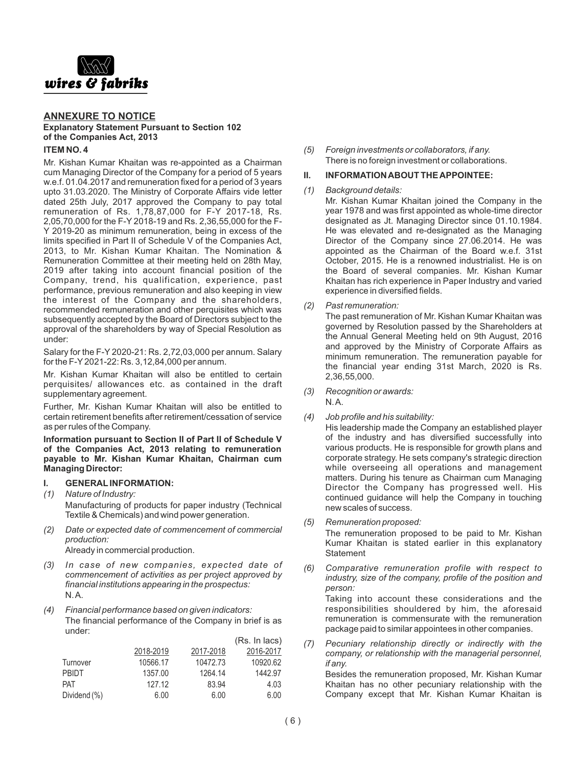

#### **ANNEXURE TO NOTICE Explanatory Statement Pursuant to Section 102 of the Companies Act, 2013**

#### **ITEM NO. 4**

Mr. Kishan Kumar Khaitan was re-appointed as a Chairman cum Managing Director of the Company for a period of 5 years w.e.f. 01.04.2017 and remuneration fixed for a period of 3 years upto 31.03.2020. The Ministry of Corporate Affairs vide letter dated 25th July, 2017 approved the Company to pay total remuneration of Rs. 1,78,87,000 for F-Y 2017-18, Rs. 2,05,70,000 for the F-Y 2018-19 and Rs. 2,36,55,000 for the F-Y 2019-20 as minimum remuneration, being in excess of the limits specified in Part II of Schedule V of the Companies Act, 2013, to Mr. Kishan Kumar Khaitan. The Nomination & Remuneration Committee at their meeting held on 28th May, 2019 after taking into account financial position of the Company, trend, his qualification, experience, past performance, previous remuneration and also keeping in view the interest of the Company and the shareholders, recommended remuneration and other perquisites which was subsequently accepted by the Board of Directors subject to the approval of the shareholders by way of Special Resolution as under:

Salary for the F-Y 2020-21: Rs. 2,72,03,000 per annum. Salary for the F-Y2021-22: Rs. 3,12,84,000 per annum.

Mr. Kishan Kumar Khaitan will also be entitled to certain perquisites/ allowances etc. as contained in the draft supplementary agreement.

Further, Mr. Kishan Kumar Khaitan will also be entitled to certain retirement benefits after retirement/cessation of service as per rules of the Company.

**Information pursuant to Section II of Part II of Schedule V of the Companies Act, 2013 relating to remuneration payable to Mr. Kishan Kumar Khaitan, Chairman cum Managing Director:**

#### **I. GENERALINFORMATION:**

- *(1) Nature of Industry:* Manufacturing of products for paper industry (Technical Textile & Chemicals) and wind power generation.
- *(2) Date or expected date of commencement of commercial production:*

Already in commercial production.

- *(3) In case of new companies, expected date of commencement of activities as per project approved by financial institutions appearing in the prospectus:* N. A.
- *(4) Financial performance based on given indicators:* The financial performance of the Company in brief is as under:

|              |           |           | (Rs. In lacs) |
|--------------|-----------|-----------|---------------|
|              | 2018-2019 | 2017-2018 | 2016-2017     |
| Turnover     | 10566.17  | 10472.73  | 10920.62      |
| <b>PRIDT</b> | 1357.00   | 1264.14   | 1442.97       |
| <b>PAT</b>   | 127.12    | 83.94     | 4.03          |
| Dividend (%) | 6.00      | 6.00      | 6.00          |

*(5) Foreign investments or collaborators, if any.* There is no foreign investment or collaborations.

#### **II. INFORMATION ABOUT THE APPOINTEE:**

#### *(1) Background details:*

Mr. Kishan Kumar Khaitan joined the Company in the year 1978 and was first appointed as whole-time director designated as Jt. Managing Director since 01.10.1984. He was elevated and re-designated as the Managing Director of the Company since 27.06.2014. He was appointed as the Chairman of the Board w.e.f. 31st October, 2015. He is a renowned industrialist. He is on the Board of several companies. Mr. Kishan Kumar Khaitan has rich experience in Paper Industry and varied experience in diversified fields.

*(2) Past remuneration:*

The past remuneration of Mr. Kishan Kumar Khaitan was governed by Resolution passed by the Shareholders at the Annual General Meeting held on 9th August, 2016 and approved by the Ministry of Corporate Affairs as minimum remuneration. The remuneration payable for the financial year ending 31st March, 2020 is Rs. 2,36,55,000.

- *(3) Recognition or awards:* N. A.
- *(4) Job profile and his suitability:*

His leadership made the Company an established player of the industry and has diversified successfully into various products. He is responsible for growth plans and corporate strategy. He sets company's strategic direction while overseeing all operations and management matters. During his tenure as Chairman cum Managing Director the Company has progressed well. His continued guidance will help the Company in touching new scales of success.

*(5) Remuneration proposed:* 

The remuneration proposed to be paid to Mr. Kishan Kumar Khaitan is stated earlier in this explanatory **Statement** 

- *(6) Comparative remuneration profile with respect to industry, size of the company, profile of the position and person:* Taking into account these considerations and the responsibilities shouldered by him, the aforesaid remuneration is commensurate with the remuneration
- *(7) Pecuniary relationship directly or indirectly with the company, or relationship with the managerial personnel, if any.*

package paid to similar appointees in other companies.

Besides the remuneration proposed, Mr. Kishan Kumar Khaitan has no other pecuniary relationship with the Company except that Mr. Kishan Kumar Khaitan is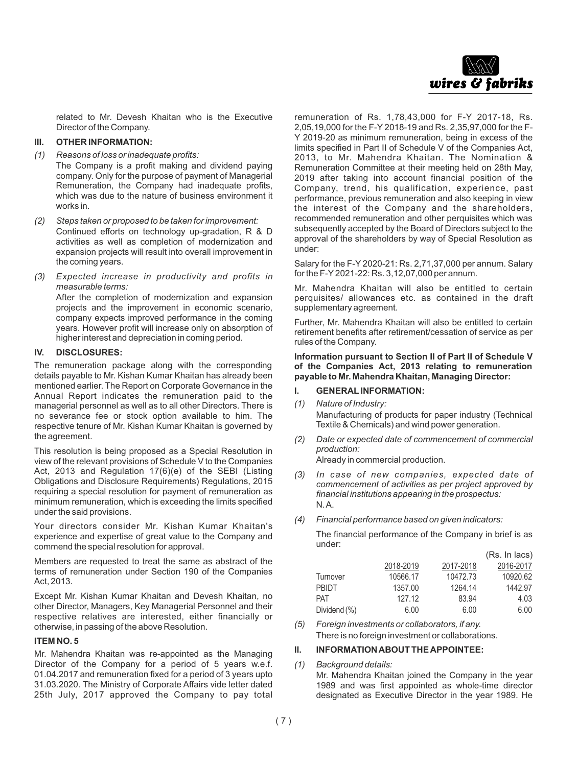

related to Mr. Devesh Khaitan who is the Executive Director of the Company.

#### **III. OTHER INFORMATION:**

*(1) Reasons of loss or inadequate profits:*

The Company is a profit making and dividend paying company. Only for the purpose of payment of Managerial Remuneration, the Company had inadequate profits, which was due to the nature of business environment it works in.

- *(2) Steps taken or proposed to be taken for improvement:* Continued efforts on technology up-gradation, R & D activities as well as completion of modernization and expansion projects will result into overall improvement in the coming years.
- *(3) Expected increase in productivity and profits in measurable terms:* After the completion of modernization and expansion projects and the improvement in economic scenario, company expects improved performance in the coming years. However profit will increase only on absorption of

higher interest and depreciation in coming period.

#### **IV. DISCLOSURES:**

The remuneration package along with the corresponding details payable to Mr. Kishan Kumar Khaitan has already been mentioned earlier. The Report on Corporate Governance in the Annual Report indicates the remuneration paid to the managerial personnel as well as to all other Directors. There is no severance fee or stock option available to him. The respective tenure of Mr. Kishan Kumar Khaitan is governed by the agreement.

This resolution is being proposed as a Special Resolution in view of the relevant provisions of Schedule V to the Companies Act, 2013 and Regulation 17(6)(e) of the SEBI (Listing Obligations and Disclosure Requirements) Regulations, 2015 requiring a special resolution for payment of remuneration as minimum remuneration, which is exceeding the limits specified under the said provisions.

Your directors consider Mr. Kishan Kumar Khaitan's experience and expertise of great value to the Company and commend the special resolution for approval.

Members are requested to treat the same as abstract of the terms of remuneration under Section 190 of the Companies Act, 2013.

Except Mr. Kishan Kumar Khaitan and Devesh Khaitan, no other Director, Managers, Key Managerial Personnel and their respective relatives are interested, either financially or otherwise, in passing of the above Resolution.

#### **ITEM NO. 5**

Mr. Mahendra Khaitan was re-appointed as the Managing Director of the Company for a period of 5 years w.e.f. 01.04.2017 and remuneration fixed for a period of 3 years upto 31.03.2020. The Ministry of Corporate Affairs vide letter dated 25th July, 2017 approved the Company to pay total

remuneration of Rs. 1,78,43,000 for F-Y 2017-18, Rs. 2,05,19,000 for the F-Y 2018-19 and Rs. 2,35,97,000 for the F-Y 2019-20 as minimum remuneration, being in excess of the limits specified in Part II of Schedule V of the Companies Act, 2013, to Mr. Mahendra Khaitan. The Nomination & Remuneration Committee at their meeting held on 28th May, 2019 after taking into account financial position of the Company, trend, his qualification, experience, past performance, previous remuneration and also keeping in view the interest of the Company and the shareholders, recommended remuneration and other perquisites which was subsequently accepted by the Board of Directors subject to the approval of the shareholders by way of Special Resolution as under:

Salary for the F-Y 2020-21: Rs. 2,71,37,000 per annum. Salary for the F-Y2021-22: Rs. 3,12,07,000 per annum.

Mr. Mahendra Khaitan will also be entitled to certain perquisites/ allowances etc. as contained in the draft supplementary agreement.

Further, Mr. Mahendra Khaitan will also be entitled to certain retirement benefits after retirement/cessation of service as per rules of the Company.

#### **Information pursuant to Section II of Part II of Schedule V of the Companies Act, 2013 relating to remuneration payable to Mr. Mahendra Khaitan, Managing Director:**

#### **I. GENERALINFORMATION:**

*(1) Nature of Industry:*

Manufacturing of products for paper industry (Technical Textile & Chemicals) and wind power generation.

*(2) Date or expected date of commencement of commercial production:*

Already in commercial production.

- *(3) In case of new companies, expected date of commencement of activities as per project approved by financial institutions appearing in the prospectus:* N. A.
- *(4) Financial performance based on given indicators:*

The financial performance of the Company in brief is as under:  $(D - I - I - I - I)$ 

|              |           |           | $(TS, III)$ 11 $(0.5)$ |
|--------------|-----------|-----------|------------------------|
|              | 2018-2019 | 2017-2018 | 2016-2017              |
| Turnover     | 10566.17  | 10472.73  | 10920.62               |
| <b>PRIDT</b> | 1357.00   | 1264.14   | 1442.97                |
| <b>PAT</b>   | 127.12    | 83.94     | 4.03                   |
| Dividend (%) | 6.00      | 6.00      | 6.00                   |

*(5) Foreign investments or collaborators, if any.* There is no foreign investment or collaborations.

#### **II. INFORMATION ABOUT THE APPOINTEE:**

*(1) Background details:* 

Mr. Mahendra Khaitan joined the Company in the year 1989 and was first appointed as whole-time director designated as Executive Director in the year 1989. He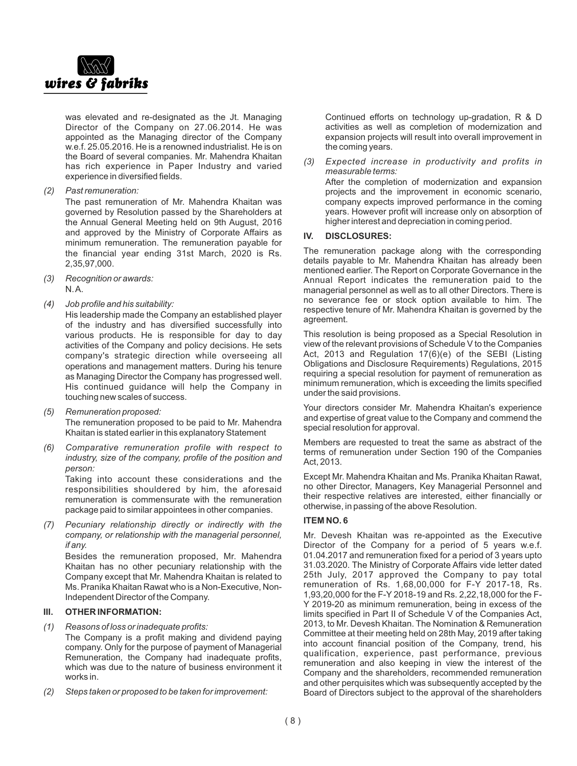

was elevated and re-designated as the Jt. Managing Director of the Company on 27.06.2014. He was appointed as the Managing director of the Company w.e.f. 25.05.2016. He is a renowned industrialist. He is on the Board of several companies. Mr. Mahendra Khaitan has rich experience in Paper Industry and varied experience in diversified fields.

*(2) Past remuneration:*

The past remuneration of Mr. Mahendra Khaitan was governed by Resolution passed by the Shareholders at the Annual General Meeting held on 9th August, 2016 and approved by the Ministry of Corporate Affairs as minimum remuneration. The remuneration payable for the financial year ending 31st March, 2020 is Rs. 2,35,97,000.

- *(3) Recognition or awards:* N. A.
- *(4) Job profile and his suitability:*

His leadership made the Company an established player of the industry and has diversified successfully into various products. He is responsible for day to day activities of the Company and policy decisions. He sets company's strategic direction while overseeing all operations and management matters. During his tenure as Managing Director the Company has progressed well. His continued guidance will help the Company in touching new scales of success.

- *(5) Remuneration proposed:*  The remuneration proposed to be paid to Mr. Mahendra Khaitan is stated earlier in this explanatory Statement
- *(6) Comparative remuneration profile with respect to industry, size of the company, profile of the position and person:*

Taking into account these considerations and the responsibilities shouldered by him, the aforesaid remuneration is commensurate with the remuneration package paid to similar appointees in other companies.

*(7) Pecuniary relationship directly or indirectly with the company, or relationship with the managerial personnel, if any.*

Besides the remuneration proposed, Mr. Mahendra Khaitan has no other pecuniary relationship with the Company except that Mr. Mahendra Khaitan is related to Ms. Pranika Khaitan Rawat who is a Non-Executive, Non-Independent Director of the Company.

#### **III. OTHER INFORMATION:**

- *(1) Reasons of loss or inadequate profits:*
	- The Company is a profit making and dividend paying company. Only for the purpose of payment of Managerial Remuneration, the Company had inadequate profits, which was due to the nature of business environment it works in.
- *(2) Steps taken or proposed to be taken for improvement:*

Continued efforts on technology up-gradation, R & D activities as well as completion of modernization and expansion projects will result into overall improvement in the coming years.

*(3) Expected increase in productivity and profits in measurable terms:*

After the completion of modernization and expansion projects and the improvement in economic scenario, company expects improved performance in the coming years. However profit will increase only on absorption of higher interest and depreciation in coming period.

#### **IV. DISCLOSURES:**

The remuneration package along with the corresponding details payable to Mr. Mahendra Khaitan has already been mentioned earlier. The Report on Corporate Governance in the Annual Report indicates the remuneration paid to the managerial personnel as well as to all other Directors. There is no severance fee or stock option available to him. The respective tenure of Mr. Mahendra Khaitan is governed by the agreement.

This resolution is being proposed as a Special Resolution in view of the relevant provisions of Schedule V to the Companies Act, 2013 and Regulation 17(6)(e) of the SEBI (Listing Obligations and Disclosure Requirements) Regulations, 2015 requiring a special resolution for payment of remuneration as minimum remuneration, which is exceeding the limits specified under the said provisions.

Your directors consider Mr. Mahendra Khaitan's experience and expertise of great value to the Company and commend the special resolution for approval.

Members are requested to treat the same as abstract of the terms of remuneration under Section 190 of the Companies Act, 2013.

Except Mr. Mahendra Khaitan and Ms. Pranika Khaitan Rawat, no other Director, Managers, Key Managerial Personnel and their respective relatives are interested, either financially or otherwise, in passing of the above Resolution.

#### **ITEM NO. 6**

Mr. Devesh Khaitan was re-appointed as the Executive Director of the Company for a period of 5 years w.e.f. 01.04.2017 and remuneration fixed for a period of 3 years upto 31.03.2020. The Ministry of Corporate Affairs vide letter dated 25th July, 2017 approved the Company to pay total remuneration of Rs. 1,68,00,000 for F-Y 2017-18, Rs. 1,93,20,000 for the F-Y 2018-19 and Rs. 2,22,18,000 for the F-Y 2019-20 as minimum remuneration, being in excess of the limits specified in Part II of Schedule V of the Companies Act, 2013, to Mr. Devesh Khaitan. The Nomination & Remuneration Committee at their meeting held on 28th May, 2019 after taking into account financial position of the Company, trend, his qualification, experience, past performance, previous remuneration and also keeping in view the interest of the Company and the shareholders, recommended remuneration and other perquisites which was subsequently accepted by the Board of Directors subject to the approval of the shareholders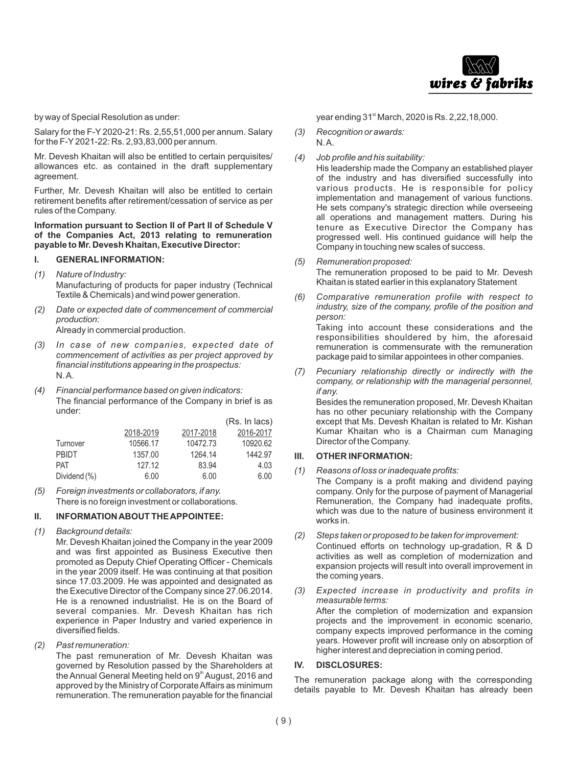

by way of Special Resolution as under:

Salary for the F-Y 2020-21: Rs. 2,55,51,000 per annum. Salary for the F-Y2021-22: Rs. 2,93,83,000 per annum.

Mr. Devesh Khaitan will also be entitled to certain perquisites/ allowances etc. as contained in the draft supplementary agreement.

Further, Mr. Devesh Khaitan will also be entitled to certain retirement benefits after retirement/cessation of service as per rules of the Company.

**Information pursuant to Section II of Part II of Schedule V of the Companies Act, 2013 relating to remuneration payable to Mr. Devesh Khaitan, Executive Director:** 

#### **I. GENERALINFORMATION:**

- *(1) Nature of Industry:* Manufacturing of products for paper industry (Technical Textile & Chemicals) and wind power generation.
- *(2) Date or expected date of commencement of commercial production:*

Already in commercial production.

- *(3) In case of new companies, expected date of commencement of activities as per project approved by financial institutions appearing in the prospectus:* N. A.
- *(4) Financial performance based on given indicators:* The financial performance of the Company in brief is as under:

|              |           |           | (Rs. In lacs) |
|--------------|-----------|-----------|---------------|
|              | 2018-2019 | 2017-2018 | 2016-2017     |
| Turnover     | 10566.17  | 10472.73  | 10920.62      |
| <b>PBIDT</b> | 1357.00   | 1264.14   | 1442.97       |
| <b>PAT</b>   | 127.12    | 83.94     | 4.03          |
| Dividend (%) | 6.00      | 6.00      | 6.00          |
|              |           |           |               |

*(5) Foreign investments or collaborators, if any.* There is no foreign investment or collaborations.

#### **II. INFORMATION ABOUT THE APPOINTEE:**

*(1) Background details:* 

Mr. Devesh Khaitan joined the Company in the year 2009 and was first appointed as Business Executive then promoted as Deputy Chief Operating Officer - Chemicals in the year 2009 itself. He was continuing at that position since 17.03.2009. He was appointed and designated as the Executive Director of the Company since 27.06.2014. He is a renowned industrialist. He is on the Board of several companies. Mr. Devesh Khaitan has rich experience in Paper Industry and varied experience in diversified fields.

*(2) Past remuneration:*

The past remuneration of Mr. Devesh Khaitan was governed by Resolution passed by the Shareholders at the Annual General Meeting held on 9<sup>th</sup> August, 2016 and approved by the Ministry of Corporate Affairs as minimum remuneration. The remuneration payable for the financial

year ending 31<sup>st</sup> March, 2020 is Rs. 2,22,18,000.

- *(3) Recognition or awards:* N. A.
- *(4) Job profile and his suitability:*

His leadership made the Company an established player of the industry and has diversified successfully into various products. He is responsible for policy implementation and management of various functions. He sets company's strategic direction while overseeing all operations and management matters. During his tenure as Executive Director the Company has progressed well. His continued guidance will help the Company in touching new scales of success.

- *(5) Remuneration proposed:*  The remuneration proposed to be paid to Mr. Devesh Khaitan is stated earlier in this explanatory Statement
- *(6) Comparative remuneration profile with respect to industry, size of the company, profile of the position and person:*

Taking into account these considerations and the responsibilities shouldered by him, the aforesaid remuneration is commensurate with the remuneration package paid to similar appointees in other companies.

*(7) Pecuniary relationship directly or indirectly with the company, or relationship with the managerial personnel, if any.*

Besides the remuneration proposed, Mr. Devesh Khaitan has no other pecuniary relationship with the Company except that Ms. Devesh Khaitan is related to Mr. Kishan Kumar Khaitan who is a Chairman cum Managing Director of the Company.

#### **III. OTHER INFORMATION:**

- *(1) Reasons of loss or inadequate profits:* The Company is a profit making and dividend paying company. Only for the purpose of payment of Managerial Remuneration, the Company had inadequate profits, which was due to the nature of business environment it works in.
- *(2) Steps taken or proposed to be taken for improvement:* Continued efforts on technology up-gradation, R & D activities as well as completion of modernization and expansion projects will result into overall improvement in the coming years.
- *(3) Expected increase in productivity and profits in measurable terms:* After the completion of modernization and expansion projects and the improvement in economic scenario, company expects improved performance in the coming years. However profit will increase only on absorption of higher interest and depreciation in coming period.

#### **IV. DISCLOSURES:**

The remuneration package along with the corresponding details payable to Mr. Devesh Khaitan has already been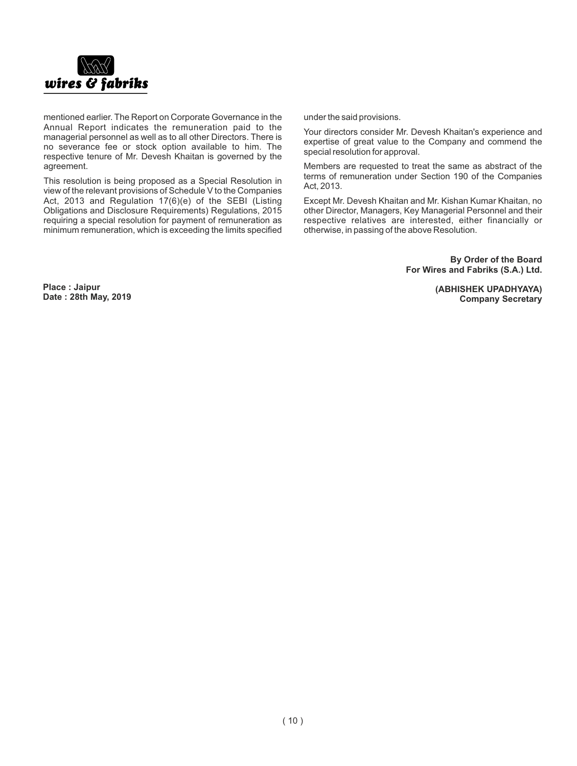

mentioned earlier. The Report on Corporate Governance in the Annual Report indicates the remuneration paid to the managerial personnel as well as to all other Directors. There is no severance fee or stock option available to him. The respective tenure of Mr. Devesh Khaitan is governed by the agreement.

This resolution is being proposed as a Special Resolution in view of the relevant provisions of Schedule V to the Companies Act, 2013 and Regulation 17(6)(e) of the SEBI (Listing Obligations and Disclosure Requirements) Regulations, 2015 requiring a special resolution for payment of remuneration as minimum remuneration, which is exceeding the limits specified under the said provisions.

Your directors consider Mr. Devesh Khaitan's experience and expertise of great value to the Company and commend the special resolution for approval.

Members are requested to treat the same as abstract of the terms of remuneration under Section 190 of the Companies Act, 2013.

Except Mr. Devesh Khaitan and Mr. Kishan Kumar Khaitan, no other Director, Managers, Key Managerial Personnel and their respective relatives are interested, either financially or otherwise, in passing of the above Resolution.

> **By Order of the Board For Wires and Fabriks (S.A.) Ltd.**

> > **(ABHISHEK UPADHYAYA) Company Secretary**

**Place : Jaipur Date : 28th May, 2019**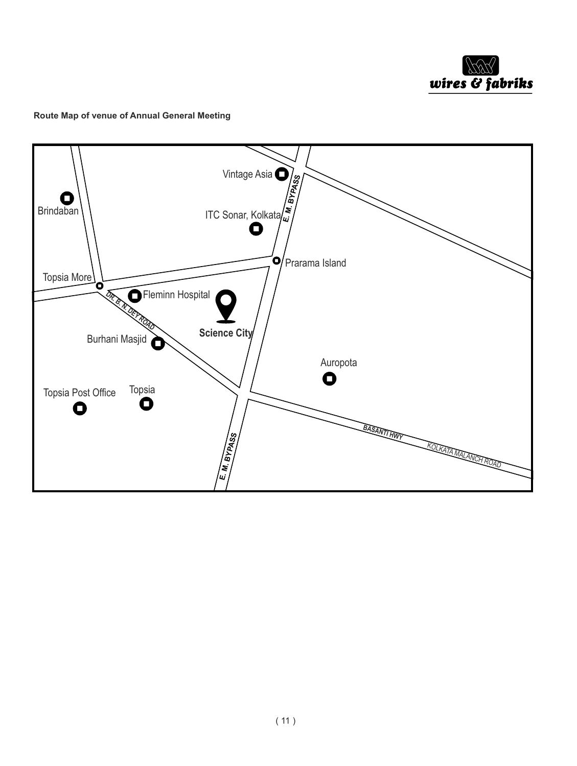

#### **Route Map of venue of Annual General Meeting**

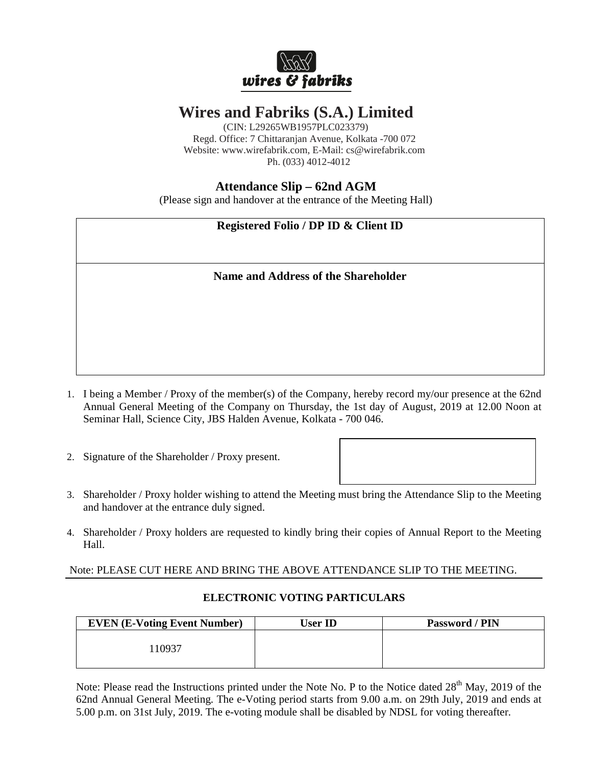

# **Wires and Fabriks (S.A.) Limited**

(CIN: L29265WB1957PLC023379) Regd. Office: 7 Chittaranjan Avenue, Kolkata -700 072 Website: www.wirefabrik.com, E-Mail: cs@wirefabrik.com Ph. (033) 4012-4012

## **Attendance Slip – 62nd AGM**

(Please sign and handover at the entrance of the Meeting Hall)

# **Registered Folio / DP ID & Client ID**

### **Name and Address of the Shareholder**

- 1. I being a Member / Proxy of the member(s) of the Company, hereby record my/our presence at the 62nd Annual General Meeting of the Company on Thursday, the 1st day of August, 2019 at 12.00 Noon at Seminar Hall, Science City, JBS Halden Avenue, Kolkata - 700 046.
- 2. Signature of the Shareholder / Proxy present.
- 3. Shareholder / Proxy holder wishing to attend the Meeting must bring the Attendance Slip to the Meeting and handover at the entrance duly signed.
- 4. Shareholder / Proxy holders are requested to kindly bring their copies of Annual Report to the Meeting Hall.

### Note: PLEASE CUT HERE AND BRING THE ABOVE ATTENDANCE SLIP TO THE MEETING.

| <b>EVEN (E-Voting Event Number)</b> | User ID- | Password / PIN |
|-------------------------------------|----------|----------------|
| .10937                              |          |                |

### **ELECTRONIC VOTING PARTICULARS**

Note: Please read the Instructions printed under the Note No. P to the Notice dated 28<sup>th</sup> May, 2019 of the 62nd Annual General Meeting. The e-Voting period starts from 9.00 a.m. on 29th July, 2019 and ends at 5.00 p.m. on 31st July, 2019. The e-voting module shall be disabled by NDSL for voting thereafter.